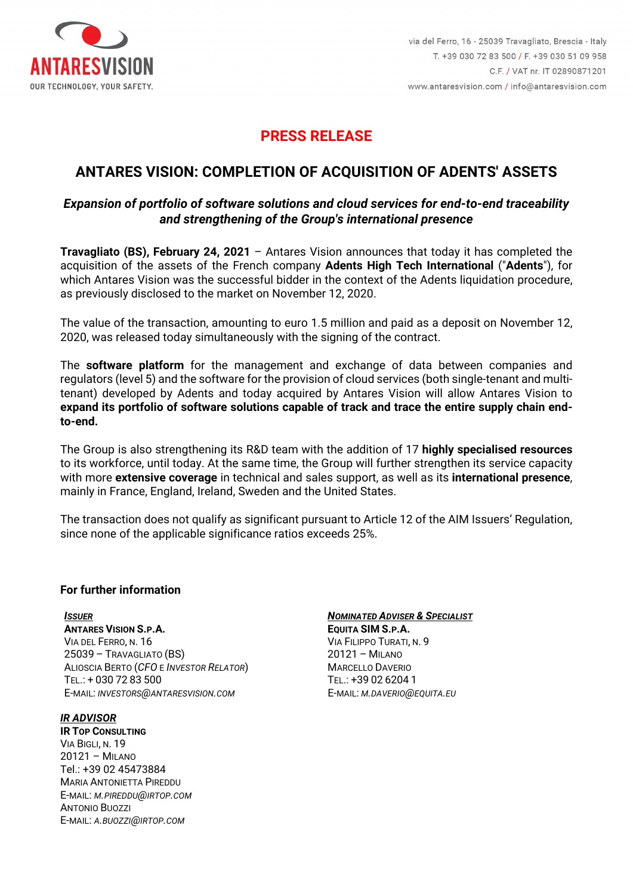

## **PRESS RELEASE**

# **ANTARES VISION: COMPLETION OF ACQUISITION OF ADENTS' ASSETS**

### *Expansion of portfolio of software solutions and cloud services for end-to-end traceability and strengthening of the Group's international presence*

**Travagliato (BS), February 24, 2021** – Antares Vision announces that today it has completed the acquisition of the assets of the French company **Adents High Tech International** ("**Adents**"), for which Antares Vision was the successful bidder in the context of the Adents liquidation procedure, as previously disclosed to the market on November 12, 2020.

The value of the transaction, amounting to euro 1.5 million and paid as a deposit on November 12, 2020, was released today simultaneously with the signing of the contract.

The **software platform** for the management and exchange of data between companies and regulators (level 5) and the software for the provision of cloud services (both single-tenant and multitenant) developed by Adents and today acquired by Antares Vision will allow Antares Vision to **expand its portfolio of software solutions capable of track and trace the entire supply chain endto-end.**

The Group is also strengthening its R&D team with the addition of 17 **highly specialised resources** to its workforce, until today. At the same time, the Group will further strengthen its service capacity with more **extensive coverage** in technical and sales support, as well as its **international presence**, mainly in France, England, Ireland, Sweden and the United States.

The transaction does not qualify as significant pursuant to Article 12 of the AIM Issuers' Regulation, since none of the applicable significance ratios exceeds 25%.

#### **For further information**

*ISSUER* **ANTARES VISION S.P.A.** VIA DEL FERRO, N. 16 25039 – TRAVAGLIATO (BS) ALIOSCIA BERTO (*CFO* E *INVESTOR RELATOR*) TEL.: + 030 72 83 500 E-MAIL: *INVESTORS@ANTARESVISION.COM*

*IR ADVISOR* **IR TOP CONSULTING** VIA BIGLI, N. 19 20121 – MILANO Tel.: +39 02 45473884 MARIA ANTONIETTA PIREDDU E-MAIL: *M.PIREDDU@IRTOP.COM* ANTONIO BUOZZI E-MAIL: *A.BUOZZI@IRTOP.COM*

#### *NOMINATED ADVISER & SPECIALIST*

**EQUITA SIM S.P.A.** VIA FILIPPO TURATI, N. 9 20121 – MILANO MARCELLO DAVERIO TEL.: +39 02 6204 1 E-MAIL: *M.DAVERIO@EQUITA.EU*